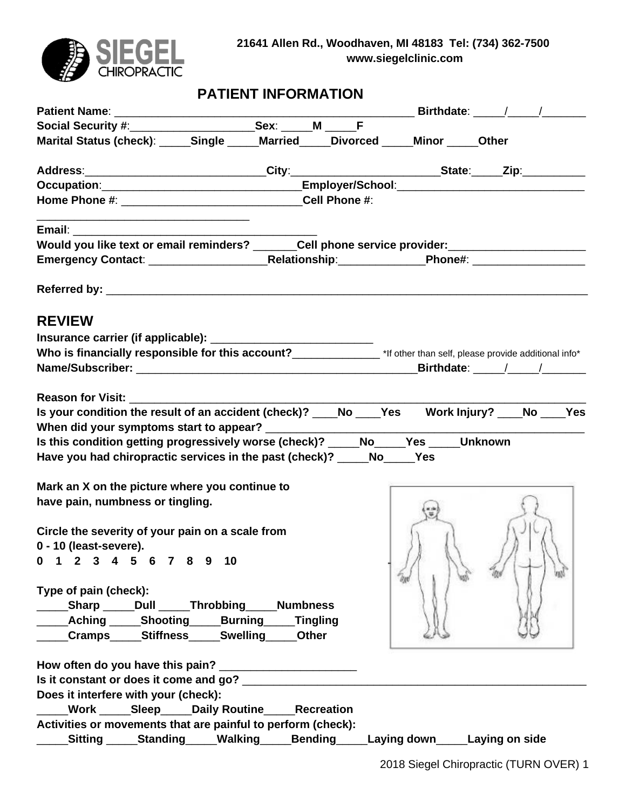

# **PATIENT INFORMATION**

| Marital Status (check): _____Single _____Married ____Divorced _____Minor _____Other                                                                              |          |                |                                |  |
|------------------------------------------------------------------------------------------------------------------------------------------------------------------|----------|----------------|--------------------------------|--|
| Address:____________________________City:_________________________State:_____Zip:__________________                                                              |          |                |                                |  |
|                                                                                                                                                                  |          |                |                                |  |
|                                                                                                                                                                  |          |                |                                |  |
| <u> 1989 - Johann Stoff, Amerikaansk politiker (* 1908)</u>                                                                                                      |          |                |                                |  |
| Would you like text or email reminders? ______Cell phone service provider: ________________________                                                              |          |                |                                |  |
|                                                                                                                                                                  |          |                |                                |  |
|                                                                                                                                                                  |          |                |                                |  |
| <b>REVIEW</b>                                                                                                                                                    |          |                |                                |  |
|                                                                                                                                                                  |          |                |                                |  |
| Who is financially responsible for this account?<br>Mho is financially responsible for this account?<br>2011<br>2011<br>2011<br>2011<br>2018<br>2018<br>2018<br> |          |                |                                |  |
|                                                                                                                                                                  |          |                |                                |  |
|                                                                                                                                                                  |          |                |                                |  |
| Reason for Visit: Neason for Visit:                                                                                                                              |          |                |                                |  |
| Is your condition the result of an accident (check)? ___No ___Yes Work Injury? ___No ___Yes                                                                      |          |                |                                |  |
|                                                                                                                                                                  |          |                |                                |  |
| Is this condition getting progressively worse (check)? ____No____Yes ____Unknown                                                                                 |          |                |                                |  |
| Have you had chiropractic services in the past (check)? _____No_____Yes                                                                                          |          |                |                                |  |
|                                                                                                                                                                  |          |                |                                |  |
| Mark an X on the picture where you continue to                                                                                                                   |          |                |                                |  |
| have pain, numbness or tingling.                                                                                                                                 |          |                |                                |  |
|                                                                                                                                                                  |          |                |                                |  |
| Circle the severity of your pain on a scale from                                                                                                                 |          |                |                                |  |
| 0 - 10 (least-severe).                                                                                                                                           |          |                |                                |  |
| 1 2 3 4 5 6 7 8 9 10<br>0                                                                                                                                        |          |                |                                |  |
|                                                                                                                                                                  |          |                |                                |  |
| Type of pain (check):                                                                                                                                            |          |                |                                |  |
| Sharp Dull Throbbing Numbness                                                                                                                                    |          |                |                                |  |
| <b>Aching _____Shooting _____Burning ___</b>                                                                                                                     | Tingling |                |                                |  |
| Cramps Stiffness Swelling                                                                                                                                        | Other    |                |                                |  |
| How often do you have this pain? ________________________                                                                                                        |          |                |                                |  |
|                                                                                                                                                                  |          |                |                                |  |
| Does it interfere with your (check):                                                                                                                             |          |                |                                |  |
| Work _____Sleep_____Daily Routine_____Recreation                                                                                                                 |          |                |                                |  |
| Activities or movements that are painful to perform (check):                                                                                                     |          |                |                                |  |
| Sitting ______Standing _____Walking _____                                                                                                                        |          | <b>Bending</b> | Laying down_____Laying on side |  |
|                                                                                                                                                                  |          |                |                                |  |